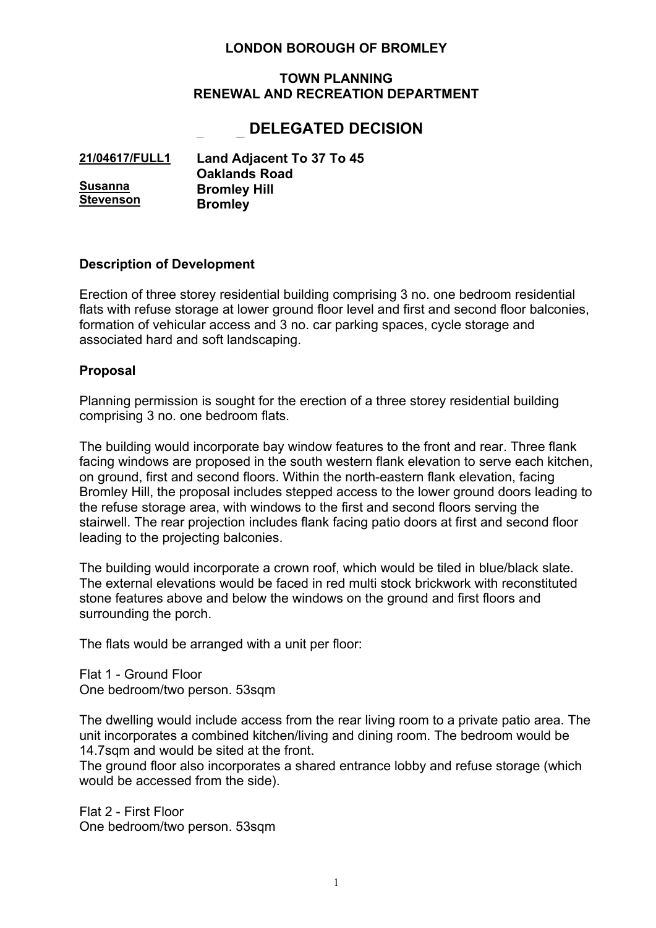# **LONDON BOROUGH OF BROMLEY**

#### **TOWN PLANNING RENEWAL AND RECREATION DEPARTMENT**

# Application No : **21/04617/FULL1 DELEGATED DECISION**

| 21/04617/FULL1   | <b>Land Adjacent To 37 To 45</b> |
|------------------|----------------------------------|
|                  | <b>Oaklands Road</b>             |
| <b>Susanna</b>   | <b>Bromley Hill</b>              |
| <b>Stevenson</b> | <b>Bromley</b>                   |

#### **Description of Development**

Erection of three storey residential building comprising 3 no. one bedroom residential flats with refuse storage at lower ground floor level and first and second floor balconies, formation of vehicular access and 3 no. car parking spaces, cycle storage and associated hard and soft landscaping.

#### **Proposal**

Planning permission is sought for the erection of a three storey residential building comprising 3 no. one bedroom flats.

The building would incorporate bay window features to the front and rear. Three flank facing windows are proposed in the south western flank elevation to serve each kitchen, on ground, first and second floors. Within the north-eastern flank elevation, facing Bromley Hill, the proposal includes stepped access to the lower ground doors leading to the refuse storage area, with windows to the first and second floors serving the stairwell. The rear projection includes flank facing patio doors at first and second floor leading to the projecting balconies.

The building would incorporate a crown roof, which would be tiled in blue/black slate. The external elevations would be faced in red multi stock brickwork with reconstituted stone features above and below the windows on the ground and first floors and surrounding the porch.

The flats would be arranged with a unit per floor:

Flat 1 - Ground Floor One bedroom/two person. 53sqm

The dwelling would include access from the rear living room to a private patio area. The unit incorporates a combined kitchen/living and dining room. The bedroom would be 14.7sqm and would be sited at the front.

The ground floor also incorporates a shared entrance lobby and refuse storage (which would be accessed from the side).

Flat 2 - First Floor One bedroom/two person. 53sqm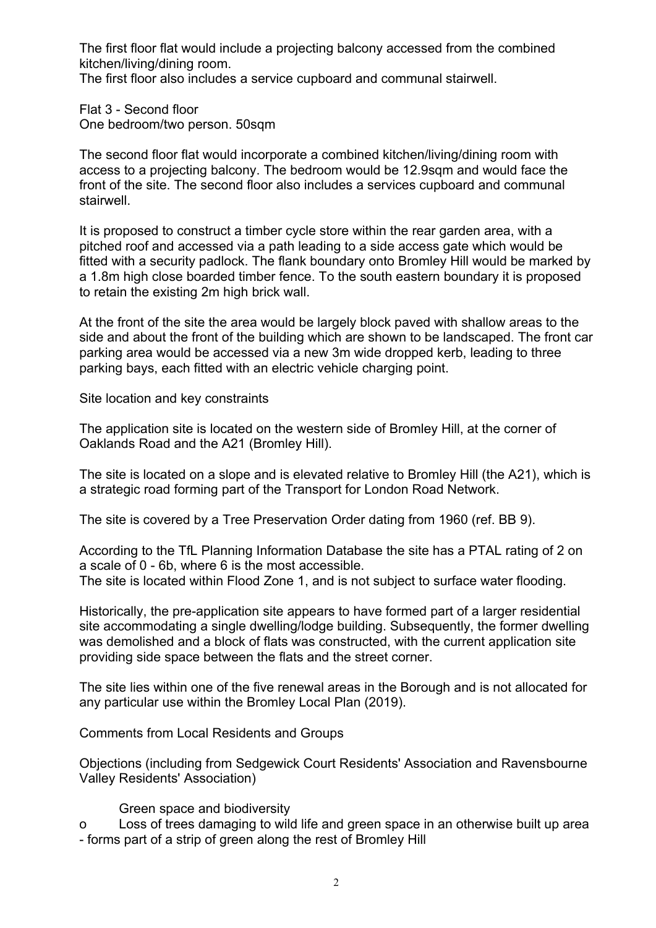The first floor flat would include a projecting balcony accessed from the combined kitchen/living/dining room.

The first floor also includes a service cupboard and communal stairwell.

Flat 3 - Second floor One bedroom/two person. 50sqm

The second floor flat would incorporate a combined kitchen/living/dining room with access to a projecting balcony. The bedroom would be 12.9sqm and would face the front of the site. The second floor also includes a services cupboard and communal stairwell.

It is proposed to construct a timber cycle store within the rear garden area, with a pitched roof and accessed via a path leading to a side access gate which would be fitted with a security padlock. The flank boundary onto Bromley Hill would be marked by a 1.8m high close boarded timber fence. To the south eastern boundary it is proposed to retain the existing 2m high brick wall.

At the front of the site the area would be largely block paved with shallow areas to the side and about the front of the building which are shown to be landscaped. The front car parking area would be accessed via a new 3m wide dropped kerb, leading to three parking bays, each fitted with an electric vehicle charging point.

Site location and key constraints

The application site is located on the western side of Bromley Hill, at the corner of Oaklands Road and the A21 (Bromley Hill).

The site is located on a slope and is elevated relative to Bromley Hill (the A21), which is a strategic road forming part of the Transport for London Road Network.

The site is covered by a Tree Preservation Order dating from 1960 (ref. BB 9).

According to the TfL Planning Information Database the site has a PTAL rating of 2 on a scale of 0 - 6b, where 6 is the most accessible. The site is located within Flood Zone 1, and is not subject to surface water flooding.

Historically, the pre-application site appears to have formed part of a larger residential site accommodating a single dwelling/lodge building. Subsequently, the former dwelling was demolished and a block of flats was constructed, with the current application site providing side space between the flats and the street corner.

The site lies within one of the five renewal areas in the Borough and is not allocated for any particular use within the Bromley Local Plan (2019).

Comments from Local Residents and Groups

Objections (including from Sedgewick Court Residents' Association and Ravensbourne Valley Residents' Association)

#### Green space and biodiversity

o Loss of trees damaging to wild life and green space in an otherwise built up area - forms part of a strip of green along the rest of Bromley Hill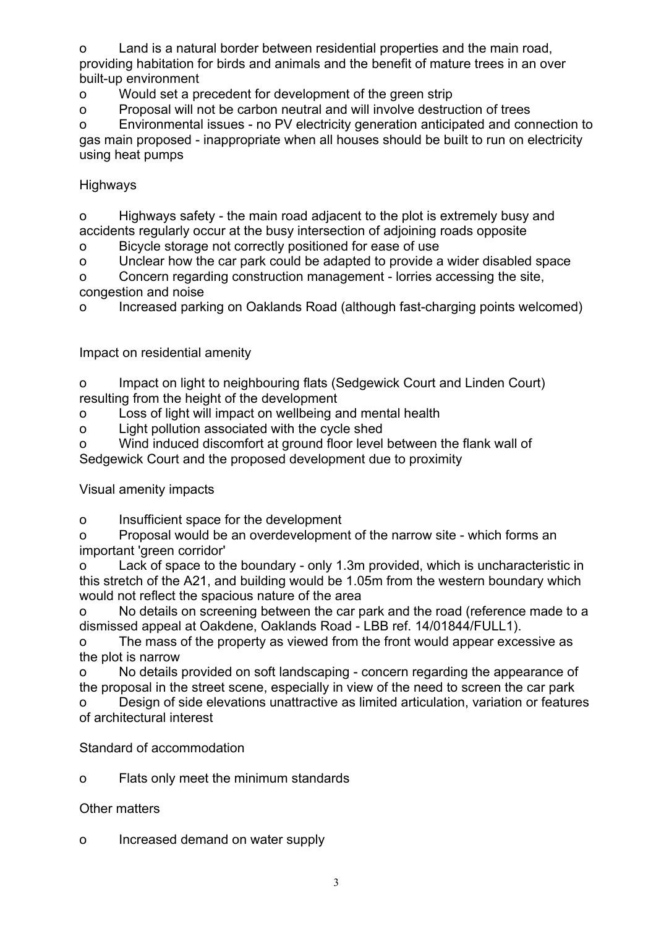o Land is a natural border between residential properties and the main road, providing habitation for birds and animals and the benefit of mature trees in an over built-up environment

o Would set a precedent for development of the green strip

o Proposal will not be carbon neutral and will involve destruction of trees

o Environmental issues - no PV electricity generation anticipated and connection to gas main proposed - inappropriate when all houses should be built to run on electricity using heat pumps

# Highways

o Highways safety - the main road adjacent to the plot is extremely busy and accidents regularly occur at the busy intersection of adjoining roads opposite

o Bicycle storage not correctly positioned for ease of use

o Unclear how the car park could be adapted to provide a wider disabled space

o Concern regarding construction management - lorries accessing the site, congestion and noise

o Increased parking on Oaklands Road (although fast-charging points welcomed)

Impact on residential amenity

o Impact on light to neighbouring flats (Sedgewick Court and Linden Court) resulting from the height of the development

o Loss of light will impact on wellbeing and mental health

o Light pollution associated with the cycle shed

o Wind induced discomfort at ground floor level between the flank wall of Sedgewick Court and the proposed development due to proximity

Visual amenity impacts

o Insufficient space for the development

o Proposal would be an overdevelopment of the narrow site - which forms an important 'green corridor'

o Lack of space to the boundary - only 1.3m provided, which is uncharacteristic in this stretch of the A21, and building would be 1.05m from the western boundary which would not reflect the spacious nature of the area

o No details on screening between the car park and the road (reference made to a dismissed appeal at Oakdene, Oaklands Road - LBB ref. 14/01844/FULL1).

o The mass of the property as viewed from the front would appear excessive as the plot is narrow

o No details provided on soft landscaping - concern regarding the appearance of the proposal in the street scene, especially in view of the need to screen the car park

o Design of side elevations unattractive as limited articulation, variation or features of architectural interest

Standard of accommodation

o Flats only meet the minimum standards

# Other matters

o Increased demand on water supply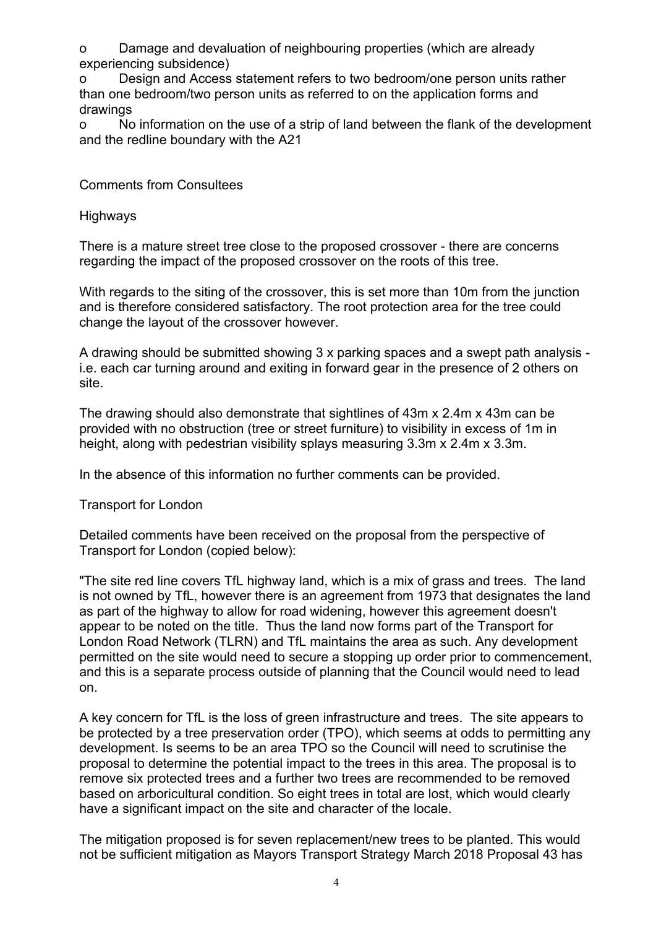o Damage and devaluation of neighbouring properties (which are already experiencing subsidence)

o Design and Access statement refers to two bedroom/one person units rather than one bedroom/two person units as referred to on the application forms and drawings

o No information on the use of a strip of land between the flank of the development and the redline boundary with the A21

Comments from Consultees

Highways

There is a mature street tree close to the proposed crossover - there are concerns regarding the impact of the proposed crossover on the roots of this tree.

With regards to the siting of the crossover, this is set more than 10m from the junction and is therefore considered satisfactory. The root protection area for the tree could change the layout of the crossover however.

A drawing should be submitted showing 3 x parking spaces and a swept path analysis i.e. each car turning around and exiting in forward gear in the presence of 2 others on site.

The drawing should also demonstrate that sightlines of 43m x 2.4m x 43m can be provided with no obstruction (tree or street furniture) to visibility in excess of 1m in height, along with pedestrian visibility splays measuring 3.3m x 2.4m x 3.3m.

In the absence of this information no further comments can be provided.

Transport for London

Detailed comments have been received on the proposal from the perspective of Transport for London (copied below):

"The site red line covers TfL highway land, which is a mix of grass and trees. The land is not owned by TfL, however there is an agreement from 1973 that designates the land as part of the highway to allow for road widening, however this agreement doesn't appear to be noted on the title. Thus the land now forms part of the Transport for London Road Network (TLRN) and TfL maintains the area as such. Any development permitted on the site would need to secure a stopping up order prior to commencement, and this is a separate process outside of planning that the Council would need to lead on.

A key concern for TfL is the loss of green infrastructure and trees. The site appears to be protected by a tree preservation order (TPO), which seems at odds to permitting any development. Is seems to be an area TPO so the Council will need to scrutinise the proposal to determine the potential impact to the trees in this area. The proposal is to remove six protected trees and a further two trees are recommended to be removed based on arboricultural condition. So eight trees in total are lost, which would clearly have a significant impact on the site and character of the locale.

The mitigation proposed is for seven replacement/new trees to be planted. This would not be sufficient mitigation as Mayors Transport Strategy March 2018 Proposal 43 has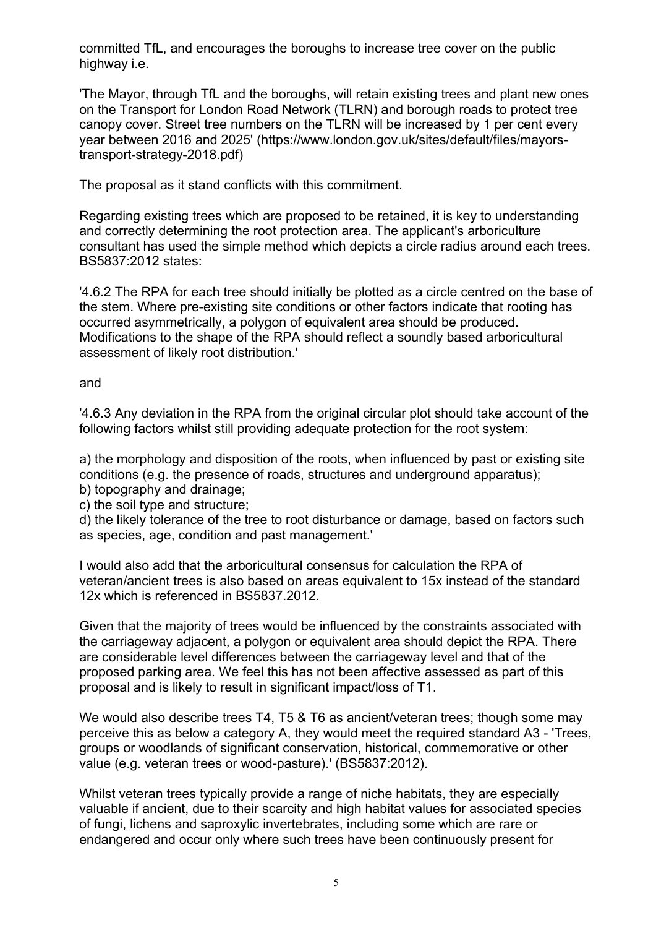committed TfL, and encourages the boroughs to increase tree cover on the public highway i.e.

'The Mayor, through TfL and the boroughs, will retain existing trees and plant new ones on the Transport for London Road Network (TLRN) and borough roads to protect tree canopy cover. Street tree numbers on the TLRN will be increased by 1 per cent every year between 2016 and 2025' (https://www.london.gov.uk/sites/default/files/mayorstransport-strategy-2018.pdf)

The proposal as it stand conflicts with this commitment.

Regarding existing trees which are proposed to be retained, it is key to understanding and correctly determining the root protection area. The applicant's arboriculture consultant has used the simple method which depicts a circle radius around each trees. BS5837:2012 states:

'4.6.2 The RPA for each tree should initially be plotted as a circle centred on the base of the stem. Where pre-existing site conditions or other factors indicate that rooting has occurred asymmetrically, a polygon of equivalent area should be produced. Modifications to the shape of the RPA should reflect a soundly based arboricultural assessment of likely root distribution.'

and

'4.6.3 Any deviation in the RPA from the original circular plot should take account of the following factors whilst still providing adequate protection for the root system:

a) the morphology and disposition of the roots, when influenced by past or existing site conditions (e.g. the presence of roads, structures and underground apparatus); b) topography and drainage;

c) the soil type and structure;

d) the likely tolerance of the tree to root disturbance or damage, based on factors such as species, age, condition and past management.'

I would also add that the arboricultural consensus for calculation the RPA of veteran/ancient trees is also based on areas equivalent to 15x instead of the standard 12x which is referenced in BS5837.2012.

Given that the majority of trees would be influenced by the constraints associated with the carriageway adjacent, a polygon or equivalent area should depict the RPA. There are considerable level differences between the carriageway level and that of the proposed parking area. We feel this has not been affective assessed as part of this proposal and is likely to result in significant impact/loss of T1.

We would also describe trees T4, T5 & T6 as ancient/veteran trees; though some may perceive this as below a category A, they would meet the required standard A3 - 'Trees, groups or woodlands of significant conservation, historical, commemorative or other value (e.g. veteran trees or wood-pasture).' (BS5837:2012).

Whilst veteran trees typically provide a range of niche habitats, they are especially valuable if ancient, due to their scarcity and high habitat values for associated species of fungi, lichens and saproxylic invertebrates, including some which are rare or endangered and occur only where such trees have been continuously present for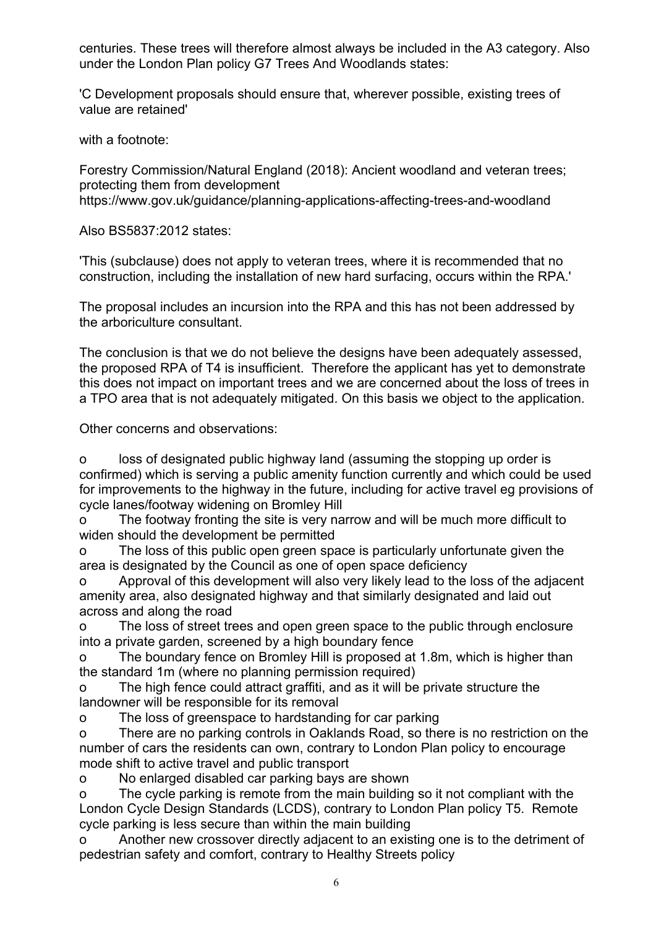centuries. These trees will therefore almost always be included in the A3 category. Also under the London Plan policy G7 Trees And Woodlands states:

'C Development proposals should ensure that, wherever possible, existing trees of value are retained'

with a footnote:

Forestry Commission/Natural England (2018): Ancient woodland and veteran trees; protecting them from development https://www.gov.uk/guidance/planning-applications-affecting-trees-and-woodland

Also BS5837:2012 states:

'This (subclause) does not apply to veteran trees, where it is recommended that no construction, including the installation of new hard surfacing, occurs within the RPA.'

The proposal includes an incursion into the RPA and this has not been addressed by the arboriculture consultant.

The conclusion is that we do not believe the designs have been adequately assessed, the proposed RPA of T4 is insufficient. Therefore the applicant has yet to demonstrate this does not impact on important trees and we are concerned about the loss of trees in a TPO area that is not adequately mitigated. On this basis we object to the application.

Other concerns and observations:

o loss of designated public highway land (assuming the stopping up order is confirmed) which is serving a public amenity function currently and which could be used for improvements to the highway in the future, including for active travel eg provisions of cycle lanes/footway widening on Bromley Hill

o The footway fronting the site is very narrow and will be much more difficult to widen should the development be permitted

o The loss of this public open green space is particularly unfortunate given the area is designated by the Council as one of open space deficiency

Approval of this development will also very likely lead to the loss of the adjacent amenity area, also designated highway and that similarly designated and laid out across and along the road

o The loss of street trees and open green space to the public through enclosure into a private garden, screened by a high boundary fence

o The boundary fence on Bromley Hill is proposed at 1.8m, which is higher than the standard 1m (where no planning permission required)

o The high fence could attract graffiti, and as it will be private structure the landowner will be responsible for its removal

o The loss of greenspace to hardstanding for car parking

o There are no parking controls in Oaklands Road, so there is no restriction on the number of cars the residents can own, contrary to London Plan policy to encourage mode shift to active travel and public transport

o No enlarged disabled car parking bays are shown

o The cycle parking is remote from the main building so it not compliant with the London Cycle Design Standards (LCDS), contrary to London Plan policy T5. Remote cycle parking is less secure than within the main building

o Another new crossover directly adjacent to an existing one is to the detriment of pedestrian safety and comfort, contrary to Healthy Streets policy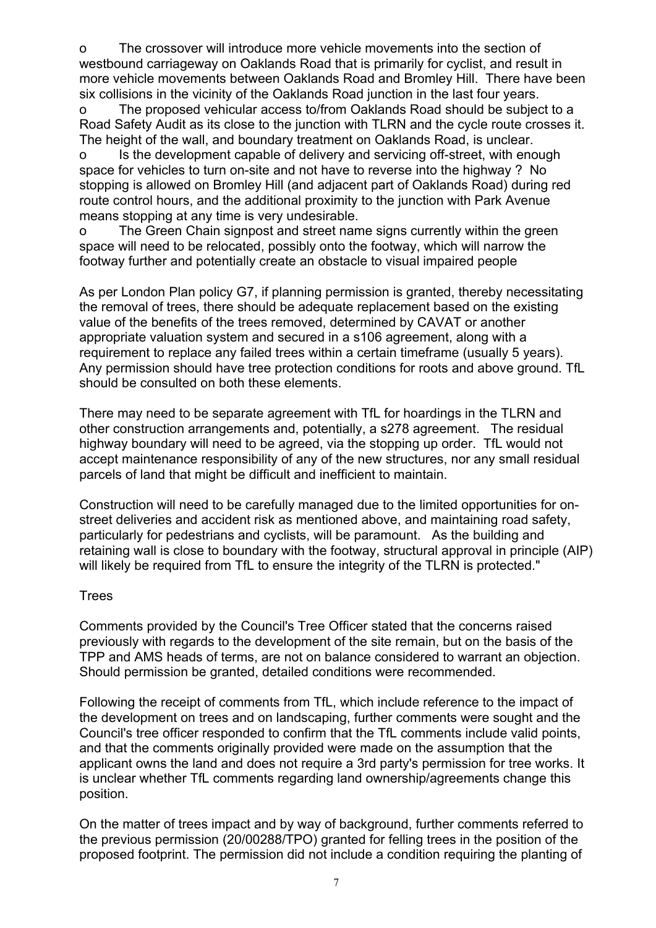o The crossover will introduce more vehicle movements into the section of westbound carriageway on Oaklands Road that is primarily for cyclist, and result in more vehicle movements between Oaklands Road and Bromley Hill. There have been six collisions in the vicinity of the Oaklands Road junction in the last four years.

o The proposed vehicular access to/from Oaklands Road should be subject to a Road Safety Audit as its close to the junction with TLRN and the cycle route crosses it. The height of the wall, and boundary treatment on Oaklands Road, is unclear.

o Is the development capable of delivery and servicing off-street, with enough space for vehicles to turn on-site and not have to reverse into the highway ? No stopping is allowed on Bromley Hill (and adjacent part of Oaklands Road) during red route control hours, and the additional proximity to the junction with Park Avenue means stopping at any time is very undesirable.

o The Green Chain signpost and street name signs currently within the green space will need to be relocated, possibly onto the footway, which will narrow the footway further and potentially create an obstacle to visual impaired people

As per London Plan policy G7, if planning permission is granted, thereby necessitating the removal of trees, there should be adequate replacement based on the existing value of the benefits of the trees removed, determined by CAVAT or another appropriate valuation system and secured in a s106 agreement, along with a requirement to replace any failed trees within a certain timeframe (usually 5 years). Any permission should have tree protection conditions for roots and above ground. TfL should be consulted on both these elements.

There may need to be separate agreement with TfL for hoardings in the TLRN and other construction arrangements and, potentially, a s278 agreement. The residual highway boundary will need to be agreed, via the stopping up order. TfL would not accept maintenance responsibility of any of the new structures, nor any small residual parcels of land that might be difficult and inefficient to maintain.

Construction will need to be carefully managed due to the limited opportunities for onstreet deliveries and accident risk as mentioned above, and maintaining road safety, particularly for pedestrians and cyclists, will be paramount. As the building and retaining wall is close to boundary with the footway, structural approval in principle (AIP) will likely be required from TfL to ensure the integrity of the TLRN is protected."

# **Trees**

Comments provided by the Council's Tree Officer stated that the concerns raised previously with regards to the development of the site remain, but on the basis of the TPP and AMS heads of terms, are not on balance considered to warrant an objection. Should permission be granted, detailed conditions were recommended.

Following the receipt of comments from TfL, which include reference to the impact of the development on trees and on landscaping, further comments were sought and the Council's tree officer responded to confirm that the TfL comments include valid points, and that the comments originally provided were made on the assumption that the applicant owns the land and does not require a 3rd party's permission for tree works. It is unclear whether TfL comments regarding land ownership/agreements change this position.

On the matter of trees impact and by way of background, further comments referred to the previous permission (20/00288/TPO) granted for felling trees in the position of the proposed footprint. The permission did not include a condition requiring the planting of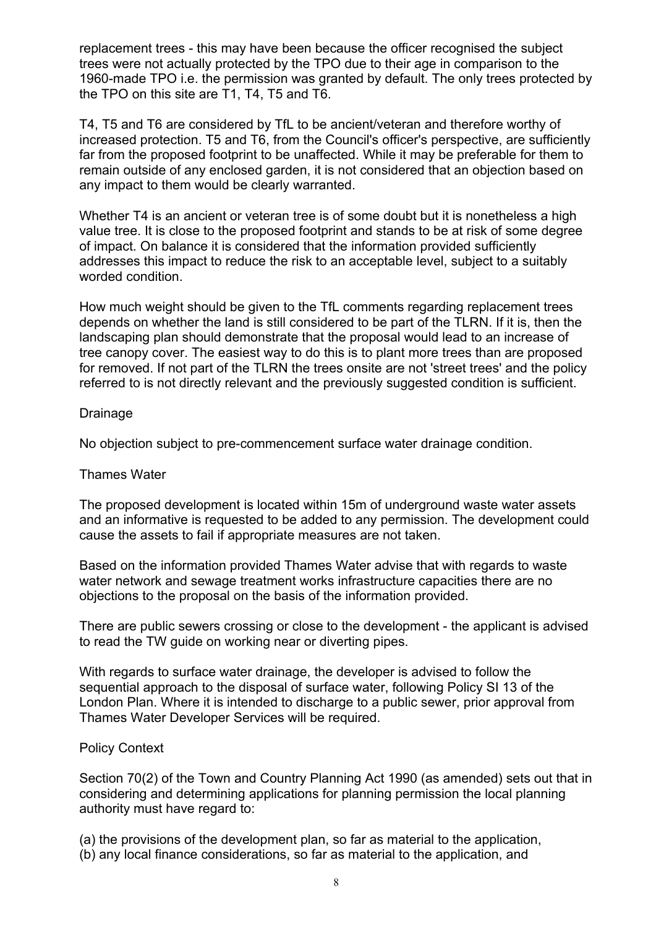replacement trees - this may have been because the officer recognised the subject trees were not actually protected by the TPO due to their age in comparison to the 1960-made TPO i.e. the permission was granted by default. The only trees protected by the TPO on this site are T1, T4, T5 and T6.

T4, T5 and T6 are considered by TfL to be ancient/veteran and therefore worthy of increased protection. T5 and T6, from the Council's officer's perspective, are sufficiently far from the proposed footprint to be unaffected. While it may be preferable for them to remain outside of any enclosed garden, it is not considered that an objection based on any impact to them would be clearly warranted.

Whether T4 is an ancient or veteran tree is of some doubt but it is nonetheless a high value tree. It is close to the proposed footprint and stands to be at risk of some degree of impact. On balance it is considered that the information provided sufficiently addresses this impact to reduce the risk to an acceptable level, subject to a suitably worded condition.

How much weight should be given to the TfL comments regarding replacement trees depends on whether the land is still considered to be part of the TLRN. If it is, then the landscaping plan should demonstrate that the proposal would lead to an increase of tree canopy cover. The easiest way to do this is to plant more trees than are proposed for removed. If not part of the TLRN the trees onsite are not 'street trees' and the policy referred to is not directly relevant and the previously suggested condition is sufficient.

# Drainage

No objection subject to pre-commencement surface water drainage condition.

# Thames Water

The proposed development is located within 15m of underground waste water assets and an informative is requested to be added to any permission. The development could cause the assets to fail if appropriate measures are not taken.

Based on the information provided Thames Water advise that with regards to waste water network and sewage treatment works infrastructure capacities there are no objections to the proposal on the basis of the information provided.

There are public sewers crossing or close to the development - the applicant is advised to read the TW guide on working near or diverting pipes.

With regards to surface water drainage, the developer is advised to follow the sequential approach to the disposal of surface water, following Policy SI 13 of the London Plan. Where it is intended to discharge to a public sewer, prior approval from Thames Water Developer Services will be required.

# Policy Context

Section 70(2) of the Town and Country Planning Act 1990 (as amended) sets out that in considering and determining applications for planning permission the local planning authority must have regard to:

(a) the provisions of the development plan, so far as material to the application,

(b) any local finance considerations, so far as material to the application, and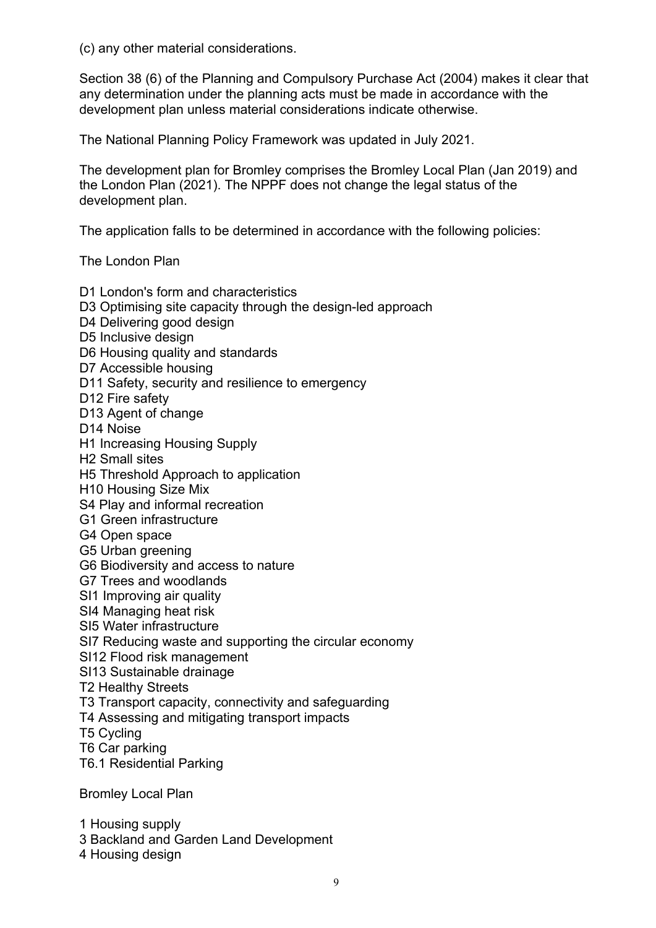(c) any other material considerations.

Section 38 (6) of the Planning and Compulsory Purchase Act (2004) makes it clear that any determination under the planning acts must be made in accordance with the development plan unless material considerations indicate otherwise.

The National Planning Policy Framework was updated in July 2021.

The development plan for Bromley comprises the Bromley Local Plan (Jan 2019) and the London Plan (2021). The NPPF does not change the legal status of the development plan.

The application falls to be determined in accordance with the following policies:

The London Plan

D1 London's form and characteristics D3 Optimising site capacity through the design-led approach D4 Delivering good design D5 Inclusive design D6 Housing quality and standards D7 Accessible housing D11 Safety, security and resilience to emergency D<sub>12</sub> Fire safety D13 Agent of change D14 Noise H1 Increasing Housing Supply H2 Small sites H5 Threshold Approach to application H10 Housing Size Mix S4 Play and informal recreation G1 Green infrastructure G4 Open space G5 Urban greening G6 Biodiversity and access to nature G7 Trees and woodlands SI1 Improving air quality SI4 Managing heat risk SI5 Water infrastructure SI7 Reducing waste and supporting the circular economy SI12 Flood risk management SI13 Sustainable drainage T2 Healthy Streets T3 Transport capacity, connectivity and safeguarding T4 Assessing and mitigating transport impacts T5 Cycling T6 Car parking T6.1 Residential Parking Bromley Local Plan

1 Housing supply

3 Backland and Garden Land Development

4 Housing design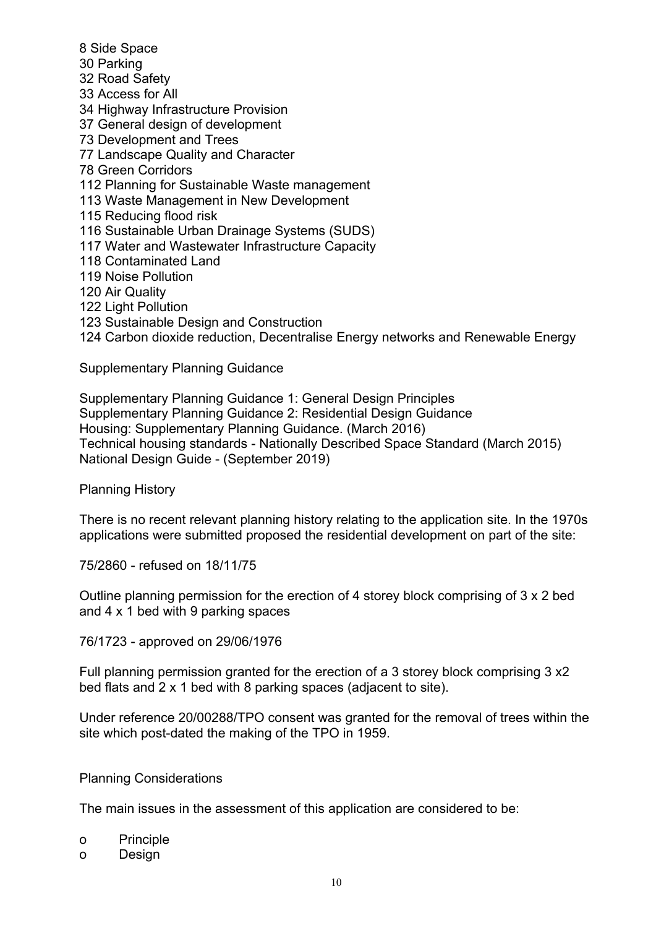- 8 Side Space 30 Parking 32 Road Safety 33 Access for All 34 Highway Infrastructure Provision 37 General design of development 73 Development and Trees 77 Landscape Quality and Character 78 Green Corridors 112 Planning for Sustainable Waste management 113 Waste Management in New Development 115 Reducing flood risk 116 Sustainable Urban Drainage Systems (SUDS) 117 Water and Wastewater Infrastructure Capacity 118 Contaminated Land 119 Noise Pollution 120 Air Quality
- 122 Light Pollution
- 123 Sustainable Design and Construction

124 Carbon dioxide reduction, Decentralise Energy networks and Renewable Energy

Supplementary Planning Guidance

Supplementary Planning Guidance 1: General Design Principles Supplementary Planning Guidance 2: Residential Design Guidance Housing: Supplementary Planning Guidance. (March 2016) Technical housing standards - Nationally Described Space Standard (March 2015) National Design Guide - (September 2019)

Planning History

There is no recent relevant planning history relating to the application site. In the 1970s applications were submitted proposed the residential development on part of the site:

75/2860 - refused on 18/11/75

Outline planning permission for the erection of 4 storey block comprising of 3 x 2 bed and 4 x 1 bed with 9 parking spaces

76/1723 - approved on 29/06/1976

Full planning permission granted for the erection of a 3 storey block comprising 3 x2 bed flats and 2 x 1 bed with 8 parking spaces (adjacent to site).

Under reference 20/00288/TPO consent was granted for the removal of trees within the site which post-dated the making of the TPO in 1959.

#### Planning Considerations

The main issues in the assessment of this application are considered to be:

- o Principle
- o Design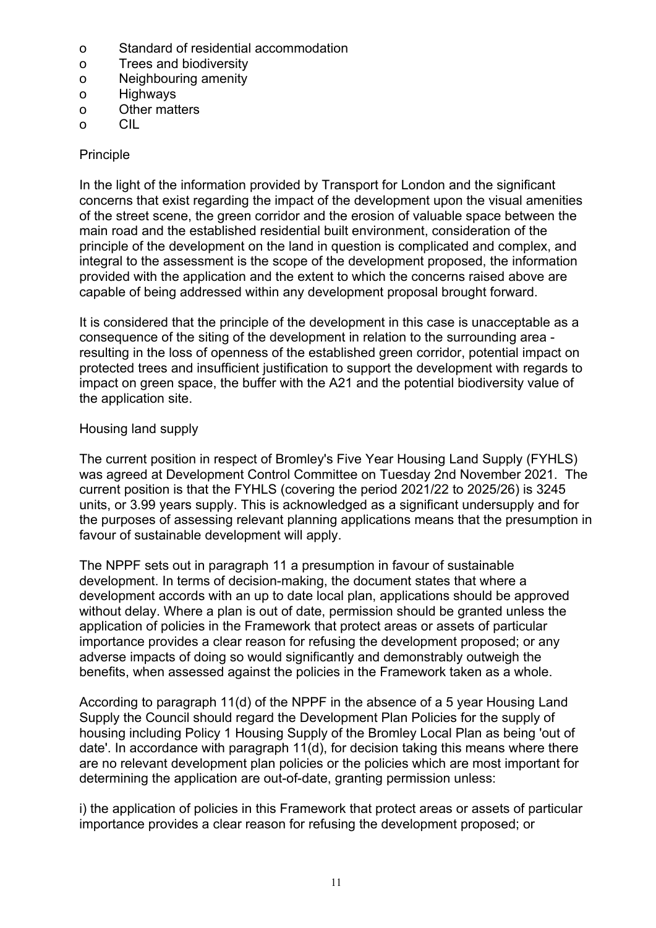- o Standard of residential accommodation
- o Trees and biodiversity
- o Neighbouring amenity
- o Highways
- o Other matters
- o CIL

# Principle

In the light of the information provided by Transport for London and the significant concerns that exist regarding the impact of the development upon the visual amenities of the street scene, the green corridor and the erosion of valuable space between the main road and the established residential built environment, consideration of the principle of the development on the land in question is complicated and complex, and integral to the assessment is the scope of the development proposed, the information provided with the application and the extent to which the concerns raised above are capable of being addressed within any development proposal brought forward.

It is considered that the principle of the development in this case is unacceptable as a consequence of the siting of the development in relation to the surrounding area resulting in the loss of openness of the established green corridor, potential impact on protected trees and insufficient justification to support the development with regards to impact on green space, the buffer with the A21 and the potential biodiversity value of the application site.

# Housing land supply

The current position in respect of Bromley's Five Year Housing Land Supply (FYHLS) was agreed at Development Control Committee on Tuesday 2nd November 2021. The current position is that the FYHLS (covering the period 2021/22 to 2025/26) is 3245 units, or 3.99 years supply. This is acknowledged as a significant undersupply and for the purposes of assessing relevant planning applications means that the presumption in favour of sustainable development will apply.

The NPPF sets out in paragraph 11 a presumption in favour of sustainable development. In terms of decision-making, the document states that where a development accords with an up to date local plan, applications should be approved without delay. Where a plan is out of date, permission should be granted unless the application of policies in the Framework that protect areas or assets of particular importance provides a clear reason for refusing the development proposed; or any adverse impacts of doing so would significantly and demonstrably outweigh the benefits, when assessed against the policies in the Framework taken as a whole.

According to paragraph 11(d) of the NPPF in the absence of a 5 year Housing Land Supply the Council should regard the Development Plan Policies for the supply of housing including Policy 1 Housing Supply of the Bromley Local Plan as being 'out of date'. In accordance with paragraph 11(d), for decision taking this means where there are no relevant development plan policies or the policies which are most important for determining the application are out-of-date, granting permission unless:

i) the application of policies in this Framework that protect areas or assets of particular importance provides a clear reason for refusing the development proposed; or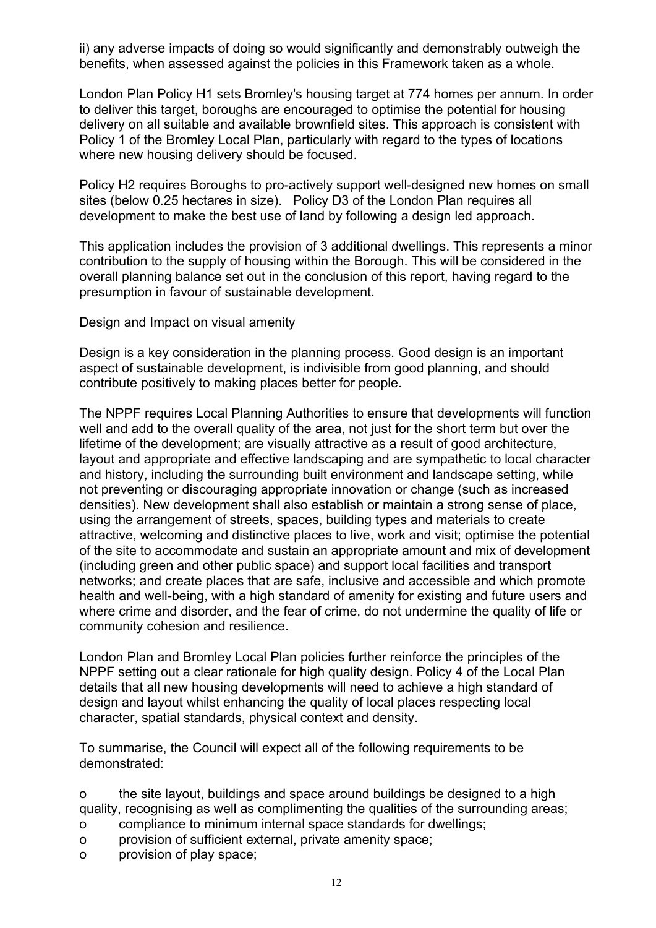ii) any adverse impacts of doing so would significantly and demonstrably outweigh the benefits, when assessed against the policies in this Framework taken as a whole.

London Plan Policy H1 sets Bromley's housing target at 774 homes per annum. In order to deliver this target, boroughs are encouraged to optimise the potential for housing delivery on all suitable and available brownfield sites. This approach is consistent with Policy 1 of the Bromley Local Plan, particularly with regard to the types of locations where new housing delivery should be focused.

Policy H2 requires Boroughs to pro-actively support well-designed new homes on small sites (below 0.25 hectares in size). Policy D3 of the London Plan requires all development to make the best use of land by following a design led approach.

This application includes the provision of 3 additional dwellings. This represents a minor contribution to the supply of housing within the Borough. This will be considered in the overall planning balance set out in the conclusion of this report, having regard to the presumption in favour of sustainable development.

Design and Impact on visual amenity

Design is a key consideration in the planning process. Good design is an important aspect of sustainable development, is indivisible from good planning, and should contribute positively to making places better for people.

The NPPF requires Local Planning Authorities to ensure that developments will function well and add to the overall quality of the area, not just for the short term but over the lifetime of the development; are visually attractive as a result of good architecture, layout and appropriate and effective landscaping and are sympathetic to local character and history, including the surrounding built environment and landscape setting, while not preventing or discouraging appropriate innovation or change (such as increased densities). New development shall also establish or maintain a strong sense of place, using the arrangement of streets, spaces, building types and materials to create attractive, welcoming and distinctive places to live, work and visit; optimise the potential of the site to accommodate and sustain an appropriate amount and mix of development (including green and other public space) and support local facilities and transport networks; and create places that are safe, inclusive and accessible and which promote health and well-being, with a high standard of amenity for existing and future users and where crime and disorder, and the fear of crime, do not undermine the quality of life or community cohesion and resilience.

London Plan and Bromley Local Plan policies further reinforce the principles of the NPPF setting out a clear rationale for high quality design. Policy 4 of the Local Plan details that all new housing developments will need to achieve a high standard of design and layout whilst enhancing the quality of local places respecting local character, spatial standards, physical context and density.

To summarise, the Council will expect all of the following requirements to be demonstrated:

o the site layout, buildings and space around buildings be designed to a high quality, recognising as well as complimenting the qualities of the surrounding areas;

- o compliance to minimum internal space standards for dwellings;
- o provision of sufficient external, private amenity space;
- o provision of play space;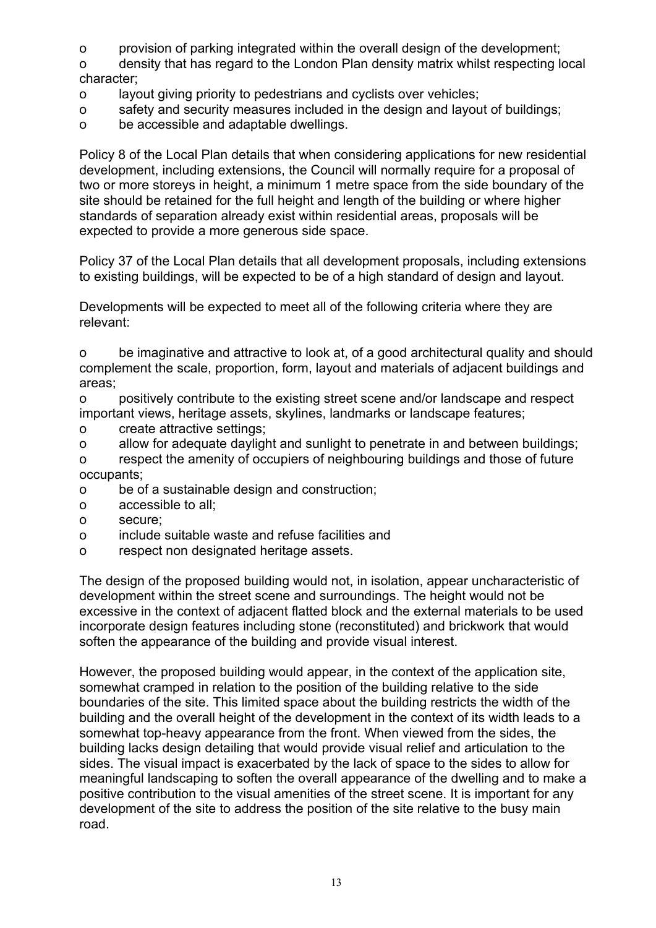o provision of parking integrated within the overall design of the development;

o density that has regard to the London Plan density matrix whilst respecting local character;

- o layout giving priority to pedestrians and cyclists over vehicles;
- o safety and security measures included in the design and layout of buildings;
- o be accessible and adaptable dwellings.

Policy 8 of the Local Plan details that when considering applications for new residential development, including extensions, the Council will normally require for a proposal of two or more storeys in height, a minimum 1 metre space from the side boundary of the site should be retained for the full height and length of the building or where higher standards of separation already exist within residential areas, proposals will be expected to provide a more generous side space.

Policy 37 of the Local Plan details that all development proposals, including extensions to existing buildings, will be expected to be of a high standard of design and layout.

Developments will be expected to meet all of the following criteria where they are relevant:

o be imaginative and attractive to look at, of a good architectural quality and should complement the scale, proportion, form, layout and materials of adjacent buildings and areas;

o positively contribute to the existing street scene and/or landscape and respect important views, heritage assets, skylines, landmarks or landscape features;

- o create attractive settings;
- o allow for adequate daylight and sunlight to penetrate in and between buildings;

o respect the amenity of occupiers of neighbouring buildings and those of future occupants;

- o be of a sustainable design and construction;
- o accessible to all;
- o secure;
- o include suitable waste and refuse facilities and
- o respect non designated heritage assets.

The design of the proposed building would not, in isolation, appear uncharacteristic of development within the street scene and surroundings. The height would not be excessive in the context of adjacent flatted block and the external materials to be used incorporate design features including stone (reconstituted) and brickwork that would soften the appearance of the building and provide visual interest.

However, the proposed building would appear, in the context of the application site, somewhat cramped in relation to the position of the building relative to the side boundaries of the site. This limited space about the building restricts the width of the building and the overall height of the development in the context of its width leads to a somewhat top-heavy appearance from the front. When viewed from the sides, the building lacks design detailing that would provide visual relief and articulation to the sides. The visual impact is exacerbated by the lack of space to the sides to allow for meaningful landscaping to soften the overall appearance of the dwelling and to make a positive contribution to the visual amenities of the street scene. It is important for any development of the site to address the position of the site relative to the busy main road.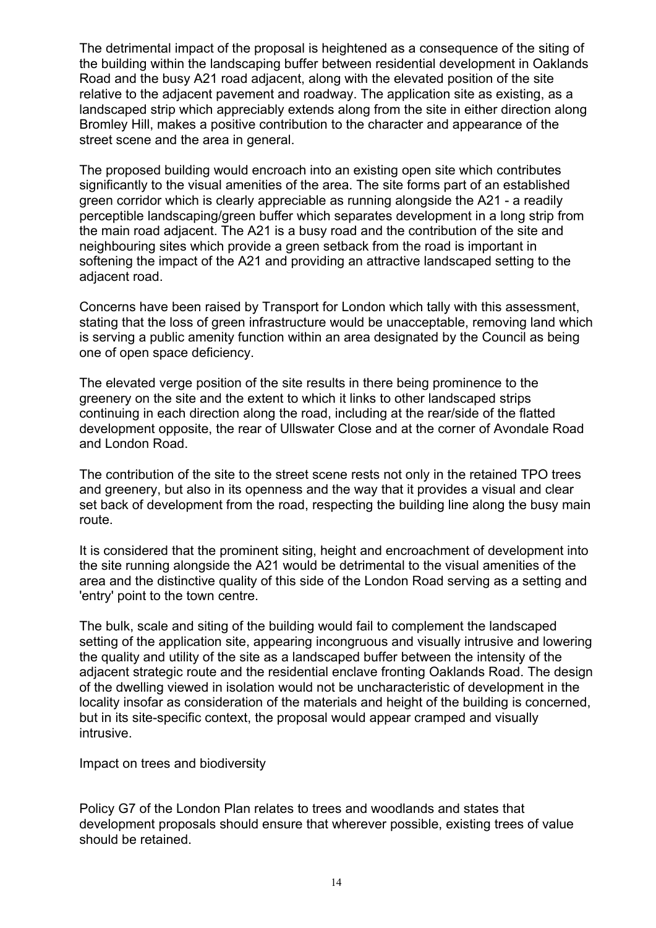The detrimental impact of the proposal is heightened as a consequence of the siting of the building within the landscaping buffer between residential development in Oaklands Road and the busy A21 road adjacent, along with the elevated position of the site relative to the adjacent pavement and roadway. The application site as existing, as a landscaped strip which appreciably extends along from the site in either direction along Bromley Hill, makes a positive contribution to the character and appearance of the street scene and the area in general.

The proposed building would encroach into an existing open site which contributes significantly to the visual amenities of the area. The site forms part of an established green corridor which is clearly appreciable as running alongside the A21 - a readily perceptible landscaping/green buffer which separates development in a long strip from the main road adjacent. The A21 is a busy road and the contribution of the site and neighbouring sites which provide a green setback from the road is important in softening the impact of the A21 and providing an attractive landscaped setting to the adjacent road.

Concerns have been raised by Transport for London which tally with this assessment, stating that the loss of green infrastructure would be unacceptable, removing land which is serving a public amenity function within an area designated by the Council as being one of open space deficiency.

The elevated verge position of the site results in there being prominence to the greenery on the site and the extent to which it links to other landscaped strips continuing in each direction along the road, including at the rear/side of the flatted development opposite, the rear of Ullswater Close and at the corner of Avondale Road and London Road.

The contribution of the site to the street scene rests not only in the retained TPO trees and greenery, but also in its openness and the way that it provides a visual and clear set back of development from the road, respecting the building line along the busy main route.

It is considered that the prominent siting, height and encroachment of development into the site running alongside the A21 would be detrimental to the visual amenities of the area and the distinctive quality of this side of the London Road serving as a setting and 'entry' point to the town centre.

The bulk, scale and siting of the building would fail to complement the landscaped setting of the application site, appearing incongruous and visually intrusive and lowering the quality and utility of the site as a landscaped buffer between the intensity of the adjacent strategic route and the residential enclave fronting Oaklands Road. The design of the dwelling viewed in isolation would not be uncharacteristic of development in the locality insofar as consideration of the materials and height of the building is concerned, but in its site-specific context, the proposal would appear cramped and visually intrusive.

Impact on trees and biodiversity

Policy G7 of the London Plan relates to trees and woodlands and states that development proposals should ensure that wherever possible, existing trees of value should be retained.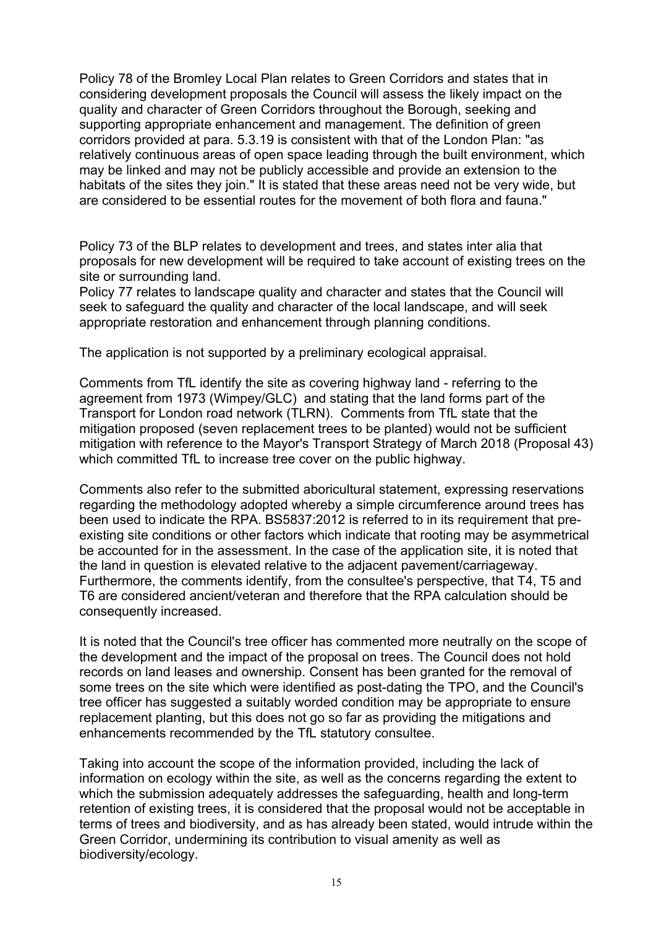Policy 78 of the Bromley Local Plan relates to Green Corridors and states that in considering development proposals the Council will assess the likely impact on the quality and character of Green Corridors throughout the Borough, seeking and supporting appropriate enhancement and management. The definition of green corridors provided at para. 5.3.19 is consistent with that of the London Plan: "as relatively continuous areas of open space leading through the built environment, which may be linked and may not be publicly accessible and provide an extension to the habitats of the sites they join." It is stated that these areas need not be very wide, but are considered to be essential routes for the movement of both flora and fauna."

Policy 73 of the BLP relates to development and trees, and states inter alia that proposals for new development will be required to take account of existing trees on the site or surrounding land.

Policy 77 relates to landscape quality and character and states that the Council will seek to safeguard the quality and character of the local landscape, and will seek appropriate restoration and enhancement through planning conditions.

The application is not supported by a preliminary ecological appraisal.

Comments from TfL identify the site as covering highway land - referring to the agreement from 1973 (Wimpey/GLC) and stating that the land forms part of the Transport for London road network (TLRN). Comments from TfL state that the mitigation proposed (seven replacement trees to be planted) would not be sufficient mitigation with reference to the Mayor's Transport Strategy of March 2018 (Proposal 43) which committed TfL to increase tree cover on the public highway.

Comments also refer to the submitted aboricultural statement, expressing reservations regarding the methodology adopted whereby a simple circumference around trees has been used to indicate the RPA. BS5837:2012 is referred to in its requirement that preexisting site conditions or other factors which indicate that rooting may be asymmetrical be accounted for in the assessment. In the case of the application site, it is noted that the land in question is elevated relative to the adjacent pavement/carriageway. Furthermore, the comments identify, from the consultee's perspective, that T4, T5 and T6 are considered ancient/veteran and therefore that the RPA calculation should be consequently increased.

It is noted that the Council's tree officer has commented more neutrally on the scope of the development and the impact of the proposal on trees. The Council does not hold records on land leases and ownership. Consent has been granted for the removal of some trees on the site which were identified as post-dating the TPO, and the Council's tree officer has suggested a suitably worded condition may be appropriate to ensure replacement planting, but this does not go so far as providing the mitigations and enhancements recommended by the TfL statutory consultee.

Taking into account the scope of the information provided, including the lack of information on ecology within the site, as well as the concerns regarding the extent to which the submission adequately addresses the safeguarding, health and long-term retention of existing trees, it is considered that the proposal would not be acceptable in terms of trees and biodiversity, and as has already been stated, would intrude within the Green Corridor, undermining its contribution to visual amenity as well as biodiversity/ecology.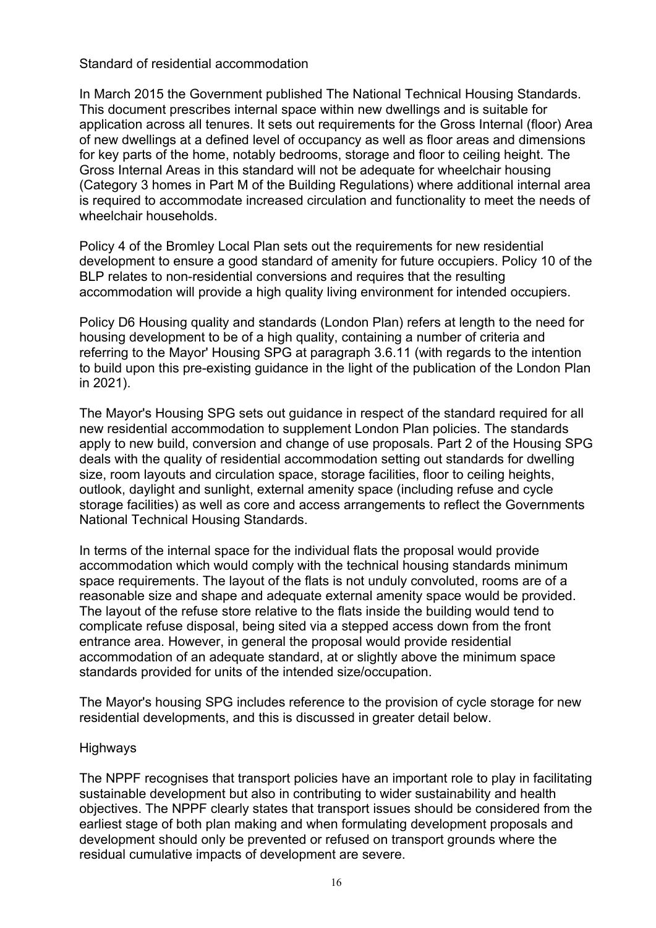### Standard of residential accommodation

In March 2015 the Government published The National Technical Housing Standards. This document prescribes internal space within new dwellings and is suitable for application across all tenures. It sets out requirements for the Gross Internal (floor) Area of new dwellings at a defined level of occupancy as well as floor areas and dimensions for key parts of the home, notably bedrooms, storage and floor to ceiling height. The Gross Internal Areas in this standard will not be adequate for wheelchair housing (Category 3 homes in Part M of the Building Regulations) where additional internal area is required to accommodate increased circulation and functionality to meet the needs of wheelchair households.

Policy 4 of the Bromley Local Plan sets out the requirements for new residential development to ensure a good standard of amenity for future occupiers. Policy 10 of the BLP relates to non-residential conversions and requires that the resulting accommodation will provide a high quality living environment for intended occupiers.

Policy D6 Housing quality and standards (London Plan) refers at length to the need for housing development to be of a high quality, containing a number of criteria and referring to the Mayor' Housing SPG at paragraph 3.6.11 (with regards to the intention to build upon this pre-existing guidance in the light of the publication of the London Plan in 2021).

The Mayor's Housing SPG sets out guidance in respect of the standard required for all new residential accommodation to supplement London Plan policies. The standards apply to new build, conversion and change of use proposals. Part 2 of the Housing SPG deals with the quality of residential accommodation setting out standards for dwelling size, room layouts and circulation space, storage facilities, floor to ceiling heights, outlook, daylight and sunlight, external amenity space (including refuse and cycle storage facilities) as well as core and access arrangements to reflect the Governments National Technical Housing Standards.

In terms of the internal space for the individual flats the proposal would provide accommodation which would comply with the technical housing standards minimum space requirements. The layout of the flats is not unduly convoluted, rooms are of a reasonable size and shape and adequate external amenity space would be provided. The layout of the refuse store relative to the flats inside the building would tend to complicate refuse disposal, being sited via a stepped access down from the front entrance area. However, in general the proposal would provide residential accommodation of an adequate standard, at or slightly above the minimum space standards provided for units of the intended size/occupation.

The Mayor's housing SPG includes reference to the provision of cycle storage for new residential developments, and this is discussed in greater detail below.

# Highways

The NPPF recognises that transport policies have an important role to play in facilitating sustainable development but also in contributing to wider sustainability and health objectives. The NPPF clearly states that transport issues should be considered from the earliest stage of both plan making and when formulating development proposals and development should only be prevented or refused on transport grounds where the residual cumulative impacts of development are severe.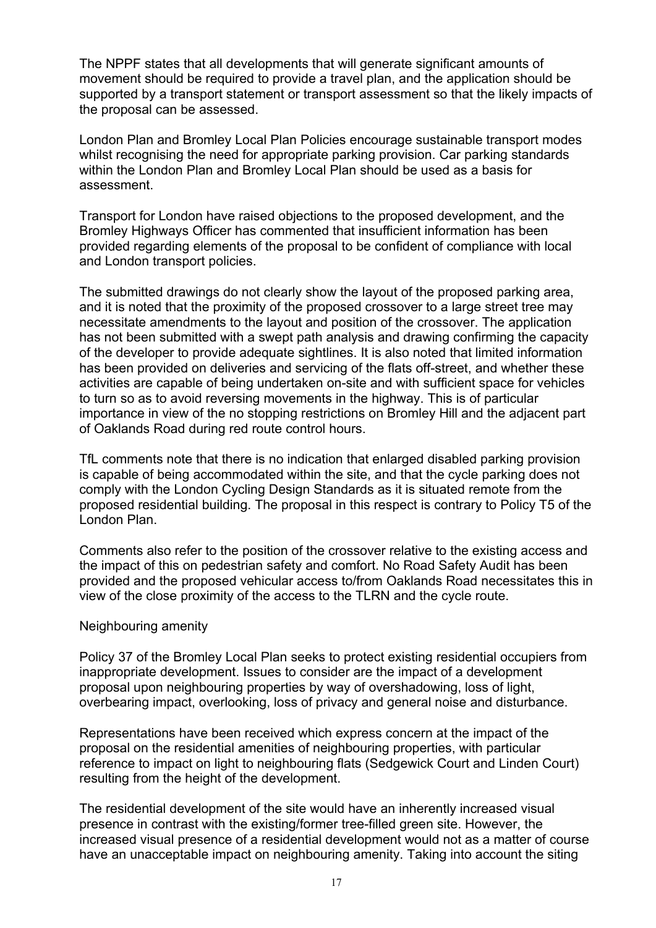The NPPF states that all developments that will generate significant amounts of movement should be required to provide a travel plan, and the application should be supported by a transport statement or transport assessment so that the likely impacts of the proposal can be assessed.

London Plan and Bromley Local Plan Policies encourage sustainable transport modes whilst recognising the need for appropriate parking provision. Car parking standards within the London Plan and Bromley Local Plan should be used as a basis for assessment.

Transport for London have raised objections to the proposed development, and the Bromley Highways Officer has commented that insufficient information has been provided regarding elements of the proposal to be confident of compliance with local and London transport policies.

The submitted drawings do not clearly show the layout of the proposed parking area, and it is noted that the proximity of the proposed crossover to a large street tree may necessitate amendments to the layout and position of the crossover. The application has not been submitted with a swept path analysis and drawing confirming the capacity of the developer to provide adequate sightlines. It is also noted that limited information has been provided on deliveries and servicing of the flats off-street, and whether these activities are capable of being undertaken on-site and with sufficient space for vehicles to turn so as to avoid reversing movements in the highway. This is of particular importance in view of the no stopping restrictions on Bromley Hill and the adjacent part of Oaklands Road during red route control hours.

TfL comments note that there is no indication that enlarged disabled parking provision is capable of being accommodated within the site, and that the cycle parking does not comply with the London Cycling Design Standards as it is situated remote from the proposed residential building. The proposal in this respect is contrary to Policy T5 of the London Plan.

Comments also refer to the position of the crossover relative to the existing access and the impact of this on pedestrian safety and comfort. No Road Safety Audit has been provided and the proposed vehicular access to/from Oaklands Road necessitates this in view of the close proximity of the access to the TLRN and the cycle route.

# Neighbouring amenity

Policy 37 of the Bromley Local Plan seeks to protect existing residential occupiers from inappropriate development. Issues to consider are the impact of a development proposal upon neighbouring properties by way of overshadowing, loss of light, overbearing impact, overlooking, loss of privacy and general noise and disturbance.

Representations have been received which express concern at the impact of the proposal on the residential amenities of neighbouring properties, with particular reference to impact on light to neighbouring flats (Sedgewick Court and Linden Court) resulting from the height of the development.

The residential development of the site would have an inherently increased visual presence in contrast with the existing/former tree-filled green site. However, the increased visual presence of a residential development would not as a matter of course have an unacceptable impact on neighbouring amenity. Taking into account the siting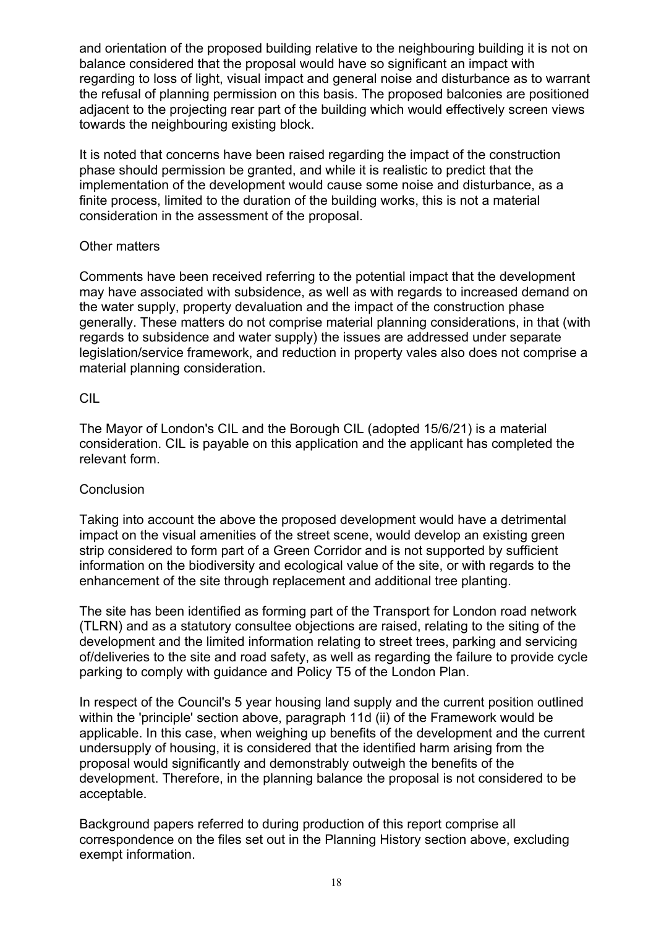and orientation of the proposed building relative to the neighbouring building it is not on balance considered that the proposal would have so significant an impact with regarding to loss of light, visual impact and general noise and disturbance as to warrant the refusal of planning permission on this basis. The proposed balconies are positioned adjacent to the projecting rear part of the building which would effectively screen views towards the neighbouring existing block.

It is noted that concerns have been raised regarding the impact of the construction phase should permission be granted, and while it is realistic to predict that the implementation of the development would cause some noise and disturbance, as a finite process, limited to the duration of the building works, this is not a material consideration in the assessment of the proposal.

# Other matters

Comments have been received referring to the potential impact that the development may have associated with subsidence, as well as with regards to increased demand on the water supply, property devaluation and the impact of the construction phase generally. These matters do not comprise material planning considerations, in that (with regards to subsidence and water supply) the issues are addressed under separate legislation/service framework, and reduction in property vales also does not comprise a material planning consideration.

# CIL

The Mayor of London's CIL and the Borough CIL (adopted 15/6/21) is a material consideration. CIL is payable on this application and the applicant has completed the relevant form.

# **Conclusion**

Taking into account the above the proposed development would have a detrimental impact on the visual amenities of the street scene, would develop an existing green strip considered to form part of a Green Corridor and is not supported by sufficient information on the biodiversity and ecological value of the site, or with regards to the enhancement of the site through replacement and additional tree planting.

The site has been identified as forming part of the Transport for London road network (TLRN) and as a statutory consultee objections are raised, relating to the siting of the development and the limited information relating to street trees, parking and servicing of/deliveries to the site and road safety, as well as regarding the failure to provide cycle parking to comply with guidance and Policy T5 of the London Plan.

In respect of the Council's 5 year housing land supply and the current position outlined within the 'principle' section above, paragraph 11d (ii) of the Framework would be applicable. In this case, when weighing up benefits of the development and the current undersupply of housing, it is considered that the identified harm arising from the proposal would significantly and demonstrably outweigh the benefits of the development. Therefore, in the planning balance the proposal is not considered to be acceptable.

Background papers referred to during production of this report comprise all correspondence on the files set out in the Planning History section above, excluding exempt information.